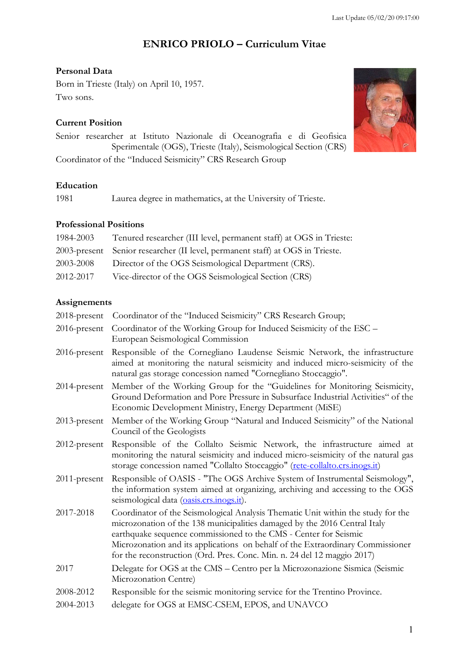# **ENRICO PRIOLO – Curriculum Vitae**

# **Personal Data**

Born in Trieste (Italy) on April 10, 1957. Two sons.

# **Current Position**

Senior researcher at Istituto Nazionale di Oceanografia e di Geofisica Sperimentale (OGS), Trieste (Italy), Seismological Section (CRS) Coordinator of the "Induced Seismicity" CRS Research Group

# **Education**

1981 Laurea degree in mathematics, at the University of Trieste.

# **Professional Positions**

| 1984-2003 | Tenured researcher (III level, permanent staff) at OGS in Trieste:            |
|-----------|-------------------------------------------------------------------------------|
|           | 2003-present Senior researcher (II level, permanent staff) at OGS in Trieste. |
| 2003-2008 | Director of the OGS Seismological Department (CRS).                           |
| 2012-2017 | Vice-director of the OGS Seismological Section (CRS)                          |

# **Assignements**

| 2018-present    | Coordinator of the "Induced Seismicity" CRS Research Group;                                                                                                                                                                                                                                                                                                                                    |
|-----------------|------------------------------------------------------------------------------------------------------------------------------------------------------------------------------------------------------------------------------------------------------------------------------------------------------------------------------------------------------------------------------------------------|
| 2016-present    | Coordinator of the Working Group for Induced Seismicity of the ESC -<br>European Seismological Commission                                                                                                                                                                                                                                                                                      |
| $2016$ -present | Responsible of the Cornegliano Laudense Seismic Network, the infrastructure<br>aimed at monitoring the natural seismicity and induced micro-seismicity of the<br>natural gas storage concession named "Cornegliano Stoccaggio".                                                                                                                                                                |
| 2014-present    | Member of the Working Group for the "Guidelines for Monitoring Seismicity,<br>Ground Deformation and Pore Pressure in Subsurface Industrial Activities" of the<br>Economic Development Ministry, Energy Department (MiSE)                                                                                                                                                                      |
| $2013$ -present | Member of the Working Group "Natural and Induced Seismicity" of the National<br>Council of the Geologists                                                                                                                                                                                                                                                                                      |
| 2012-present    | Responsible of the Collalto Seismic Network, the infrastructure aimed at<br>monitoring the natural seismicity and induced micro-seismicity of the natural gas<br>storage concession named "Collalto Stoccaggio" (rete-collalto.crs.inogs.it)                                                                                                                                                   |
| $2011$ -present | Responsible of OASIS - "The OGS Archive System of Instrumental Seismology",<br>the information system aimed at organizing, archiving and accessing to the OGS<br>seismological data (oasis.crs.inogs.it).                                                                                                                                                                                      |
| 2017-2018       | Coordinator of the Seismological Analysis Thematic Unit within the study for the<br>microzonation of the 138 municipalities damaged by the 2016 Central Italy<br>earthquake sequence commissioned to the CMS - Center for Seismic<br>Microzonation and its applications on behalf of the Extraordinary Commissioner<br>for the reconstruction (Ord. Pres. Conc. Min. n. 24 del 12 maggio 2017) |
| 2017            | Delegate for OGS at the CMS - Centro per la Microzonazione Sismica (Seismic<br>Microzonation Centre)                                                                                                                                                                                                                                                                                           |
| 2008-2012       | Responsible for the seismic monitoring service for the Trentino Province.                                                                                                                                                                                                                                                                                                                      |
| 2004-2013       | delegate for OGS at EMSC-CSEM, EPOS, and UNAVCO                                                                                                                                                                                                                                                                                                                                                |
|                 |                                                                                                                                                                                                                                                                                                                                                                                                |

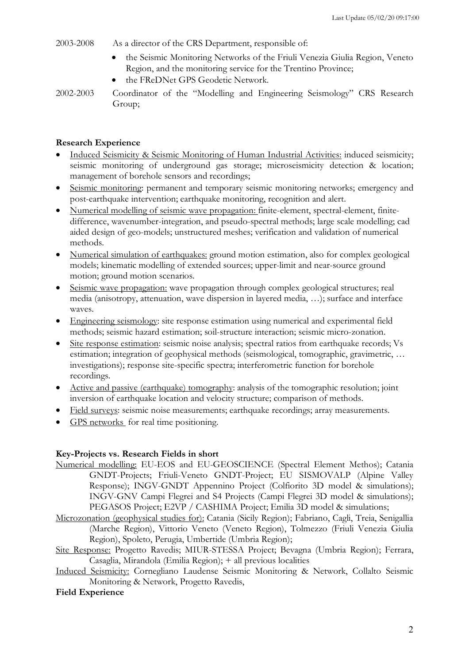#### 2003-2008 As a director of the CRS Department, responsible of:

- the Seismic Monitoring Networks of the Friuli Venezia Giulia Region, Veneto Region, and the monitoring service for the Trentino Province;
- the FReDNet GPS Geodetic Network.
- 2002-2003 Coordinator of the "Modelling and Engineering Seismology" CRS Research Group;

## **Research Experience**

- Induced Seismicity & Seismic Monitoring of Human Industrial Activities: induced seismicity; seismic monitoring of underground gas storage; microseismicity detection & location; management of borehole sensors and recordings;
- Seismic monitoring: permanent and temporary seismic monitoring networks; emergency and post-earthquake intervention; earthquake monitoring, recognition and alert.
- Numerical modelling of seismic wave propagation: finite-element, spectral-element, finitedifference, wavenumber-integration, and pseudo-spectral methods; large scale modelling; cad aided design of geo-models; unstructured meshes; verification and validation of numerical methods.
- Numerical simulation of earthquakes: ground motion estimation, also for complex geological models; kinematic modelling of extended sources; upper-limit and near-source ground motion; ground motion scenarios.
- Seismic wave propagation: wave propagation through complex geological structures; real media (anisotropy, attenuation, wave dispersion in layered media, …); surface and interface waves.
- Engineering seismology: site response estimation using numerical and experimental field methods; seismic hazard estimation; soil-structure interaction; seismic micro-zonation.
- Site response estimation: seismic noise analysis; spectral ratios from earthquake records; Vs estimation; integration of geophysical methods (seismological, tomographic, gravimetric, … investigations); response site-specific spectra; interferometric function for borehole recordings.
- Active and passive (earthquake) tomography: analysis of the tomographic resolution; joint inversion of earthquake location and velocity structure; comparison of methods.
- Field surveys: seismic noise measurements; earthquake recordings; array measurements.
- GPS networks for real time positioning.

## **Key-Projects vs. Research Fields in short**

- Numerical modelling: EU-EOS and EU-GEOSCIENCE (Spectral Element Methos); Catania GNDT-Projects; Friuli-Veneto GNDT-Project; EU SISMOVALP (Alpine Valley Response); INGV-GNDT Appennino Project (Colfiorito 3D model & simulations); INGV-GNV Campi Flegrei and S4 Projects (Campi Flegrei 3D model & simulations); PEGASOS Project; E2VP / CASHIMA Project; Emilia 3D model & simulations;
- Microzonation (geophysical studies for): Catania (Sicily Region); Fabriano, Cagli, Treia, Senigallia (Marche Region), Vittorio Veneto (Veneto Region), Tolmezzo (Friuli Venezia Giulia Region), Spoleto, Perugia, Umbertide (Umbria Region);
- Site Response: Progetto Ravedis; MIUR-STESSA Project; Bevagna (Umbria Region); Ferrara, Casaglia, Mirandola (Emilia Region); + all previous localities
- Induced Seismicity: Cornegliano Laudense Seismic Monitoring & Network, Collalto Seismic Monitoring & Network, Progetto Ravedis,

## **Field Experience**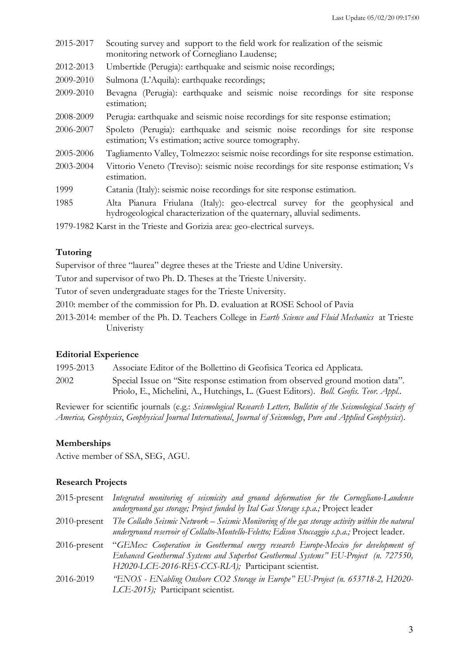| 2015-2017                                                                | Scouting survey and support to the field work for realization of the seismic<br>monitoring network of Cornegliano Laudense;                            |
|--------------------------------------------------------------------------|--------------------------------------------------------------------------------------------------------------------------------------------------------|
| 2012-2013                                                                | Umbertide (Perugia): earthquake and seismic noise recordings;                                                                                          |
| 2009-2010                                                                | Sulmona (L'Aquila): earthquake recordings;                                                                                                             |
| 2009-2010                                                                | Bevagna (Perugia): earthquake and seismic noise recordings for site response<br>estimation;                                                            |
| 2008-2009                                                                | Perugia: earthquake and seismic noise recordings for site response estimation;                                                                         |
| 2006-2007                                                                | Spoleto (Perugia): earthquake and seismic noise recordings for site response<br>estimation; Vs estimation; active source tomography.                   |
| 2005-2006                                                                | Tagliamento Valley, Tolmezzo: seismic noise recordings for site response estimation.                                                                   |
| 2003-2004                                                                | Vittorio Veneto (Treviso): seismic noise recordings for site response estimation; Vs<br>estimation.                                                    |
| 1999                                                                     | Catania (Italy): seismic noise recordings for site response estimation.                                                                                |
| 1985                                                                     | Alta Pianura Friulana (Italy): geo-electrcal survey for the geophysical and<br>hydrogeological characterization of the quaternary, alluvial sediments. |
| 1979-1982 Karst in the Trieste and Gorizia area: geo-electrical surveys. |                                                                                                                                                        |

## **Tutoring**

Supervisor of three "laurea" degree theses at the Trieste and Udine University.

Tutor and supervisor of two Ph. D. Theses at the Trieste University.

Tutor of seven undergraduate stages for the Trieste University.

2010: member of the commission for Ph. D. evaluation at ROSE School of Pavia

2013-2014: member of the Ph. D. Teachers College in *Earth Science and Fluid Mechanics* at Trieste Univeristy

#### **Editorial Experience**

1995-2013 Associate Editor of the Bollettino di Geofisica Teorica ed Applicata.

2002 Special Issue on "Site response estimation from observed ground motion data". Priolo, E., Michelini, A., Hutchings, L. (Guest Editors). *Boll. Geofis. Teor. Appl.*.

Reviewer for scientific journals (e.g.: *Seismological Research Letters, Bulletin of the Seismological Society of America, Geophysics*, *Geophysical Journal International*, *Journal of Seismology*, *Pure and Applied Geophysics*).

#### **Memberships**

Active member of SSA, SEG, AGU.

#### **Research Projects**

| $2015$ -present | Integrated monitoring of seismicity and ground deformation for the Cornegliano-Laudense<br>underground gas storage; Project funded by Ital Gas Storage s.p.a.; Project leader                                                                 |
|-----------------|-----------------------------------------------------------------------------------------------------------------------------------------------------------------------------------------------------------------------------------------------|
| $2010$ -present | The Collalto Seismic Network – Seismic Monitoring of the gas storage activity within the natural<br>underground reservoir of Collalto-Montello-Feletto; Edison Stoccaggio s.p.a.; Project leader.                                             |
|                 | 2016-present "GEMex: Cooperation in Geothermal energy research Europe-Mexico for development of<br>Enhanced Geothermal Systems and Superhot Geothermal Systems" EU-Project (n. 727550,<br>H2020-LCE-2016-RES-CCS-RIA); Participant scientist. |
| 2016-2019       | "ENOS - ENabling Onshore CO2 Storage in Europe" EU-Project (n. 653718-2, H2020-<br>LCE-2015); Participant scientist.                                                                                                                          |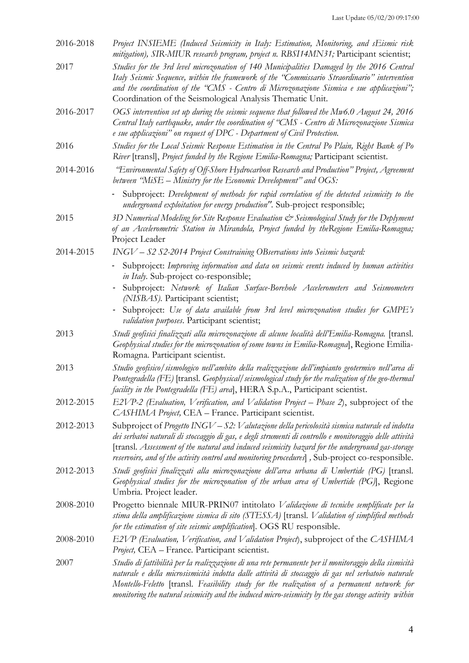| 2016-2018 | Project INSIEME (Induced Seismicity in Italy: Estimation, Monitoring, and sEismic risk<br>mitigation), SIR-MIUR research program, project n. RBSI14MN31; Participant scientist;                                                                                                                                                                                                                                    |
|-----------|--------------------------------------------------------------------------------------------------------------------------------------------------------------------------------------------------------------------------------------------------------------------------------------------------------------------------------------------------------------------------------------------------------------------|
| 2017      | Studies for the 3rd level microzonation of 140 Municipalities Damaged by the 2016 Central<br>Italy Seismic Sequence, within the framework of the "Commissario Straordinario" intervention<br>and the coordination of the "CMS - Centro di Microzonazione Sismica e sue applicazioni";<br>Coordination of the Seismological Analysis Thematic Unit.                                                                 |
| 2016-2017 | OGS intervention set up during the seismic sequence that followed the Mw6.0 August 24, 2016<br>Central Italy earthquake, under the coordination of "CMS - Centro di Microzonazione Sismica<br>e sue applicazioni" on request of DPC - Department of Civil Protection.                                                                                                                                              |
| 2016      | Studies for the Local Seismic Response Estimation in the Central Po Plain, Right Bank of Po<br>River [transl], Project funded by the Regione Emilia-Romagna; Participant scientist.                                                                                                                                                                                                                                |
| 2014-2016 | "Environmental Safety of Off-Shore Hydrocarbon Research and Production" Project, Agreement<br>between "MiSE – Ministry for the Economic Development" and $OGS$ :                                                                                                                                                                                                                                                   |
|           | Subproject: Development of methods for rapid correlation of the detected seismicity to the<br>underground exploitation for energy production". Sub-project responsible;                                                                                                                                                                                                                                            |
| 2015      | 3D Numerical Modeling for Site Response Evaluation & Seismological Study for the Deplyment<br>of an Accelerometric Station in Mirandola, Project funded by theRegione Emilia-Romagna;<br>Project Leader                                                                                                                                                                                                            |
| 2014-2015 | INGV - S2 S2-2014 Project Constraining OBservations into Seismic hazard:                                                                                                                                                                                                                                                                                                                                           |
|           | - Subproject: Improving information and data on seismic events induced by human activities<br>in Italy. Sub-project co-responsible;                                                                                                                                                                                                                                                                                |
|           | Subproject: Network of Italian Surface-Borehole Accelerometers and Seismometers<br>(NISBAS). Participant scientist;                                                                                                                                                                                                                                                                                                |
|           | Subproject: Use of data available from 3rd level microzonation studies for GMPE's<br>validation purposes. Participant scientist;                                                                                                                                                                                                                                                                                   |
| 2013      | Studi geofisici finalizzati alla microzonazione di alcune località dell'Emilia-Romagna. [transl.<br>Geophysical studies for the microzonation of some towns in Emilia-Romagna], Regione Emilia-<br>Romagna. Participant scientist.                                                                                                                                                                                 |
| 2013      | Studio geofisico/sismologico nell'ambito della realizzazione dell'impianto geotermico nell'area di<br>Pontegradella (FE) [transl. Geophysical/ seismological study for the realization of the geo-thermal<br>facility in the Pontegradella (FE) areal, HERA S.p.A., Participant scientist.                                                                                                                         |
| 2012-2015 | E2VP-2 (Evaluation, Verification, and Validation Project - Phase 2), subproject of the<br>CASHIMA Project, CEA - France. Participant scientist.                                                                                                                                                                                                                                                                    |
| 2012-2013 | Subproject of Progetto INGV – $S2$ : Valutazione della pericolosità sismica naturale ed indotta<br>dei serbatoi naturali di stoccaggio di gas, e degli strumenti di controllo e monitoraggio delle attività<br>[transl. Assessment of the natural and induced seismicity hazard for the underground gas-storage<br>reservoirs, and of the activity control and monitoring procedures], Sub-project co-responsible. |
| 2012-2013 | Studi geofisici finalizzati alla microzonazione dell'area urbana di Umbertide (PG) [transl.<br>Geophysical studies for the microzonation of the urban area of Umbertide (PG), Regione<br>Umbria. Project leader.                                                                                                                                                                                                   |
| 2008-2010 | Progetto biennale MIUR-PRIN07 intitolato Validazione di tecniche semplificate per la<br>stima della amplificazione sismica di sito (STESSA) [transl. Validation of simplified methods<br>for the estimation of site seismic amplification. OGS RU responsible.                                                                                                                                                     |
| 2008-2010 | E2VP (Evaluation, Verification, and Validation Project), subproject of the CASHIMA<br>Project, CEA – France. Participant scientist.                                                                                                                                                                                                                                                                                |
| 2007      | Studio di fattibilità per la realizzazione di una rete permanente per il monitoraggio della sismicità<br>naturale e della microsismicità indotta dalle attività di stoccaggio di gas nel serbatoio naturale<br>Montello-Feletto [transl. Feasibility study for the realization of a permanent network for<br>monitoring the natural seismicity and the induced micro-seismicity by the gas storage activity within |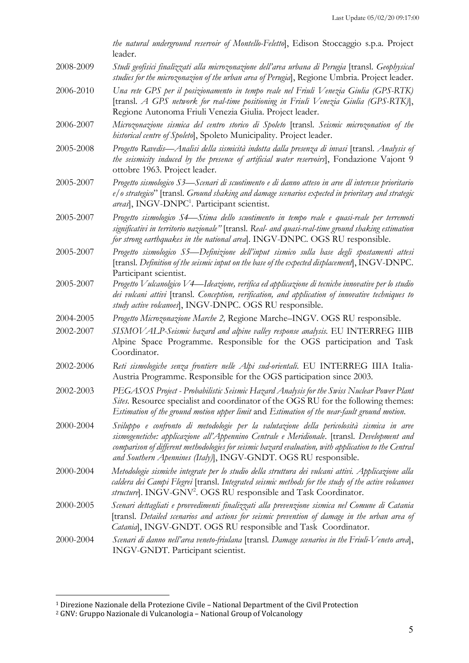|           | the natural underground reservoir of Montello-Feletto, Edison Stoccaggio s.p.a. Project<br>leader.                                                                                                                                                                                                                                                                  |
|-----------|---------------------------------------------------------------------------------------------------------------------------------------------------------------------------------------------------------------------------------------------------------------------------------------------------------------------------------------------------------------------|
| 2008-2009 | Studi geofisici finalizzati alla microzonazione dell'area urbana di Perugia [transl. Geophysical<br>studies for the microzonazion of the urban area of Perugial, Regione Umbria. Project leader.                                                                                                                                                                    |
| 2006-2010 | Una rete GPS per il posizionamento in tempo reale nel Friuli Venezia Giulia (GPS-RTK)<br>[transl. A GPS network for real-time positioning in Friuli Venezia Giulia (GPS-RTK)],<br>Regione Autonoma Friuli Venezia Giulia. Project leader.                                                                                                                           |
| 2006-2007 | Microzonazione sismica del centro storico di Spoleto [transl. Seismic microzonation of the<br>historical centre of Spoleto], Spoleto Municipality. Project leader.                                                                                                                                                                                                  |
| 2005-2008 | Progetto Ravedis—Analisi della sismicità indotta dalla presenza di invasi [transl. Analysis of<br>the seismicity induced by the presence of artificial water reservoirs], Fondazione Vajont 9<br>ottobre 1963. Project leader.                                                                                                                                      |
| 2005-2007 | Progetto sismologico S3—Scenari di scuotimento e di danno atteso in aree dl interesse prioritario<br>e/o strategico" [transl. Ground shaking and damage scenarios expected in prioritary and strategic<br>areas], INGV-DNPC <sup>1</sup> . Participant scientist.                                                                                                   |
| 2005-2007 | Progetto sismologico S4-Stima dello scuotimento in tempo reale e quasi-reale per terremoti<br>significativi in territorio nazionale" [transl. Real- and quasi-real-time ground shaking estimation<br>for strong earthquakes in the national area]. INGV-DNPC. OGS RU responsible.                                                                                   |
| 2005-2007 | Progetto sismologico S5—Definizione dell'input sismico sulla base degli spostamenti attesi<br>[transl. Definition of the seismic input on the base of the expected displacement], INGV-DNPC.<br>Participant scientist.                                                                                                                                              |
| 2005-2007 | Progetto Vulcanolgico V4—Ideazione, verifica ed applicazione di tecniche innovative per lo studio<br>dei vulcani attivi [transl. Conception, verification, and application of innovative techniques to<br>study active volcanoes], INGV-DNPC. OGS RU responsible.                                                                                                   |
| 2004-2005 | Progetto Microzonazione Marche 2, Regione Marche-INGV. OGS RU responsible.                                                                                                                                                                                                                                                                                          |
| 2002-2007 | SISMOV ALP-Seismic hazard and alpine valley response analysis. EU INTERREG IIIB<br>Alpine Space Programme. Responsible for the OGS participation and Task<br>Coordinator.                                                                                                                                                                                           |
| 2002-2006 | Reti sismologiche senza frontiere nelle Alpi sud-orientali. EU INTERREG IIIA Italia-<br>Austria Programme. Responsible for the OGS participation since 2003.                                                                                                                                                                                                        |
| 2002-2003 | PEGASOS Project - Probabilistic Seismic Hazard Analysis for the Swiss Nuclear Power Plant<br>Sites. Resource specialist and coordinator of the OGS RU for the following themes:<br>Estimation of the ground motion upper limit and Estimation of the near-fault ground motion.                                                                                      |
| 2000-2004 | Sviluppo e confronto di metodologie per la valutazione della pericolosità sismica in aree<br>sismogenetiche: applicazione all'Appennino Centrale e Meridionale. [transl. Development and<br>comparison of different methodologies for seismic hazard evaluation, with application to the Central<br>and Southern Apennines (Italy)], INGV-GNDT. OGS RU responsible. |
| 2000-2004 | Metodologie sismiche integrate per lo studio della struttura dei vulcani attivi. Applicazione alla<br>caldera dei Campi Flegrei [transl. Integrated seismic methods for the study of the active volcanoes<br>structure]. INGV-GNV <sup>2</sup> . OGS RU responsible and Task Coordinator.                                                                           |
| 2000-2005 | Scenari dettagliati e provvedimenti finalizzati alla prevenzione sismica nel Comune di Catania<br>[transl. Detailed scenarios and actions for seismic prevention of damage in the urban area of<br>Catanial, INGV-GNDT. OGS RU responsible and Task Coordinator.                                                                                                    |
| 2000-2004 | Scenari di danno nell'area veneto-friulana [transl. Damage scenarios in the Friuli-Veneto area],<br>INGV-GNDT. Participant scientist.                                                                                                                                                                                                                               |

 $\overline{a}$ 

<sup>&</sup>lt;sup>1</sup> Direzione Nazionale della Protezione Civile – National Department of the Civil Protection

<sup>&</sup>lt;sup>2</sup> GNV: Gruppo Nazionale di Vulcanologia - National Group of Volcanology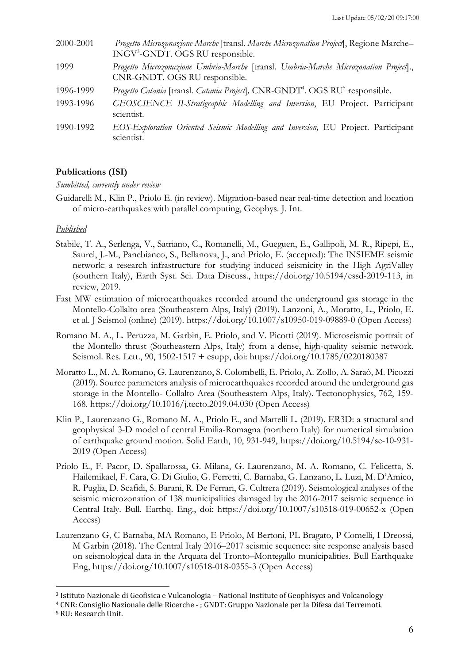| 2000-2001 | Progetto Microzonazione Marche [transl. Marche Microzonation Project], Regione Marche-<br>INGV <sup>3</sup> -GNDT. OGS RU responsible. |
|-----------|----------------------------------------------------------------------------------------------------------------------------------------|
| 1999      | Progetto Microzonazione Umbria-Marche [transl. Umbria-Marche Microzonation Project].,<br>CNR-GNDT. OGS RU responsible.                 |
| 1996-1999 | Progetto Catania [transl. Catania Project], CNR-GNDT <sup>4</sup> . OGS RU <sup>5</sup> responsible.                                   |
| 1993-1996 | GEOSCIENCE II-Stratigraphic Modelling and Inversion, EU Project. Participant<br>scientist.                                             |
| 1990-1992 | EOS-Exploration Oriented Seismic Modelling and Inversion, EU Project. Participant<br>scientist.                                        |

## **Publications (ISI)**

#### *Sumbitted, currently under review*

Guidarelli M., Klin P., Priolo E. (in review). Migration-based near real-time detection and location of micro-earthquakes with parallel computing, Geophys. J. Int.

## *Published*

- Stabile, T. A., Serlenga, V., Satriano, C., Romanelli, M., Gueguen, E., Gallipoli, M. R., Ripepi, E., Saurel, J.-M., Panebianco, S., Bellanova, J., and Priolo, E. (accepted): The INSIEME seismic network: a research infrastructure for studying induced seismicity in the High AgriValley (southern Italy), Earth Syst. Sci. Data Discuss., https://doi.org/10.5194/essd-2019-113, in review, 2019.
- Fast MW estimation of microearthquakes recorded around the underground gas storage in the Montello-Collalto area (Southeastern Alps, Italy) (2019). Lanzoni, A., Moratto, L., Priolo, E. et al. J Seismol (online) (2019). https://doi.org/10.1007/s10950-019-09889-0 (Open Access)
- Romano M. A., L. Peruzza, M. Garbin, E. Priolo, and V. Picotti (2019). Microseismic portrait of the Montello thrust (Southeastern Alps, Italy) from a dense, high-quality seismic network. Seismol. Res. Lett., 90, 1502-1517 + esupp, doi: https://doi.org/10.1785/0220180387
- Moratto L., M. A. Romano, G. Laurenzano, S. Colombelli, E. Priolo, A. Zollo, A. Saraò, M. Picozzi (2019). Source parameters analysis of microearthquakes recorded around the underground gas storage in the Montello- Collalto Area (Southeastern Alps, Italy). Tectonophysics, 762, 159- 168. https://doi.org/10.1016/j.tecto.2019.04.030 (Open Access)
- Klin P., Laurenzano G., Romano M. A., Priolo E., and Martelli L. (2019). ER3D: a structural and geophysical 3-D model of central Emilia-Romagna (northern Italy) for numerical simulation of earthquake ground motion. Solid Earth, 10, 931-949, https://doi.org/10.5194/se-10-931- 2019 (Open Access)
- Priolo E., F. Pacor, D. Spallarossa, G. Milana, G. Laurenzano, M. A. Romano, C. Felicetta, S. Hailemikael, F. Cara, G. Di Giulio, G. Ferretti, C. Barnaba, G. Lanzano, L. Luzi, M. D'Amico, R. Puglia, D. Scafidi, S. Barani, R. De Ferrari, G. Cultrera (2019). Seismological analyses of the seismic microzonation of 138 municipalities damaged by the 2016-2017 seismic sequence in Central Italy. Bull. Earthq. Eng., doi: https://doi.org/10.1007/s10518-019-00652-x (Open Access)
- Laurenzano G, C Barnaba, MA Romano, E Priolo, M Bertoni, PL Bragato, P Comelli, I Dreossi, M Garbin (2018). The Central Italy 2016–2017 seismic sequence: site response analysis based on seismological data in the Arquata del Tronto–Montegallo municipalities. Bull Earthquake Eng, https://doi.org/10.1007/s10518-018-0355-3 (Open Access)

 $\overline{a}$ 

<sup>&</sup>lt;sup>3</sup> Istituto Nazionale di Geofisica e Vulcanologia - National Institute of Geophisycs and Volcanology

<sup>&</sup>lt;sup>4</sup> CNR: Consiglio Nazionale delle Ricerche - ; GNDT: Gruppo Nazionale per la Difesa dai Terremoti.

<sup>&</sup>lt;sup>5</sup> RU: Research Unit.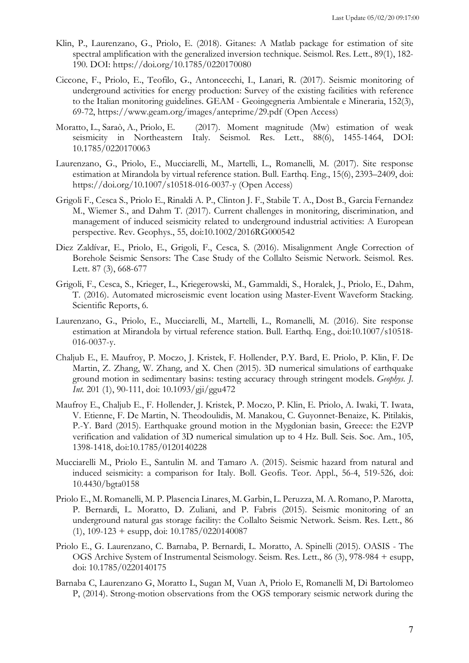- Klin, P., Laurenzano, G., Priolo, E. (2018). Gitanes: A Matlab package for estimation of site spectral amplification with the generalized inversion technique. Seismol. Res. Lett., 89(1), 182- 190. DOI: https://doi.org/10.1785/0220170080
- Ciccone, F., Priolo, E., Teofilo, G., Antoncecchi, I., Lanari, R. (2017). Seismic monitoring of underground activities for energy production: Survey of the existing facilities with reference to the Italian monitoring guidelines. GEAM - Geoingegneria Ambientale e Mineraria, 152(3), 69-72, https://www.geam.org/images/anteprime/29.pdf (Open Access)
- Moratto, L., Saraò, A., Priolo, E. (2017). Moment magnitude (Mw) estimation of weak seismicity in Northeastern Italy. Seismol. Res. Lett., 88(6), 1455-1464, DOI: 10.1785/0220170063
- Laurenzano, G., Priolo, E., Mucciarelli, M., Martelli, L., Romanelli, M. (2017). Site response estimation at Mirandola by virtual reference station. Bull. Earthq. Eng., 15(6), 2393–2409, doi: https://doi.org/10.1007/s10518-016-0037-y (Open Access)
- Grigoli F., Cesca S., Priolo E., Rinaldi A. P., Clinton J. F., Stabile T. A., Dost B., Garcia Fernandez M., Wiemer S., and Dahm T. (2017). Current challenges in monitoring, discrimination, and management of induced seismicity related to underground industrial activities: A European perspective. Rev. Geophys., 55, doi:10.1002/2016RG000542
- Diez Zaldívar, E., Priolo, E., Grigoli, F., Cesca, S. (2016). Misalignment Angle Correction of Borehole Seismic Sensors: The Case Study of the Collalto Seismic Network. Seismol. Res. Lett. 87 (3), 668-677
- Grigoli, F., Cesca, S., Krieger, L., Kriegerowski, M., Gammaldi, S., Horalek, J., Priolo, E., Dahm, T. (2016). Automated microseismic event location using Master-Event Waveform Stacking. Scientific Reports, 6.
- Laurenzano, G., Priolo, E., Mucciarelli, M., Martelli, L., Romanelli, M. (2016). Site response estimation at Mirandola by virtual reference station. Bull. Earthq. Eng., doi:10.1007/s10518- 016-0037-y.
- Chaljub E., E. Maufroy, P. Moczo, J. Kristek, F. Hollender, P.Y. Bard, E. Priolo, P. Klin, F. De Martin, Z. Zhang, W. Zhang, and X. Chen (2015). 3D numerical simulations of earthquake ground motion in sedimentary basins: testing accuracy through stringent models. *Geophys. J. Int.* 201 (1), 90-111, doi: 10.1093/gji/ggu472
- Maufroy E., Chaljub E., F. Hollender, J. Kristek, P. Moczo, P. Klin, E. Priolo, A. Iwaki, T. Iwata, V. Etienne, F. De Martin, N. Theodoulidis, M. Manakou, C. Guyonnet-Benaize, K. Pitilakis, P.-Y. Bard (2015). Earthquake ground motion in the Mygdonian basin, Greece: the E2VP verification and validation of 3D numerical simulation up to 4 Hz. Bull. Seis. Soc. Am., 105, 1398-1418, doi:10.1785/0120140228
- Mucciarelli M., Priolo E., Santulin M. and Tamaro A. (2015). Seismic hazard from natural and induced seismicity: a comparison for Italy. Boll. Geofis. Teor. Appl., 56-4, 519-526, doi: 10.4430/bgta0158
- Priolo E., M. Romanelli, M. P. Plasencia Linares, M. Garbin, L. Peruzza, M. A. Romano, P. Marotta, P. Bernardi, L. Moratto, D. Zuliani, and P. Fabris (2015). Seismic monitoring of an underground natural gas storage facility: the Collalto Seismic Network. Seism. Res. Lett., 86  $(1), 109-123 + \text{esupp, doi: } 10.1785/0220140087$
- Priolo E., G. Laurenzano, C. Barnaba, P. Bernardi, L. Moratto, A. Spinelli (2015). OASIS The OGS Archive System of Instrumental Seismology. Seism. Res. Lett., 86 (3), 978-984 + esupp, doi: 10.1785/0220140175
- Barnaba C, Laurenzano G, Moratto L, Sugan M, Vuan A, Priolo E, Romanelli M, Di Bartolomeo P, (2014). Strong-motion observations from the OGS temporary seismic network during the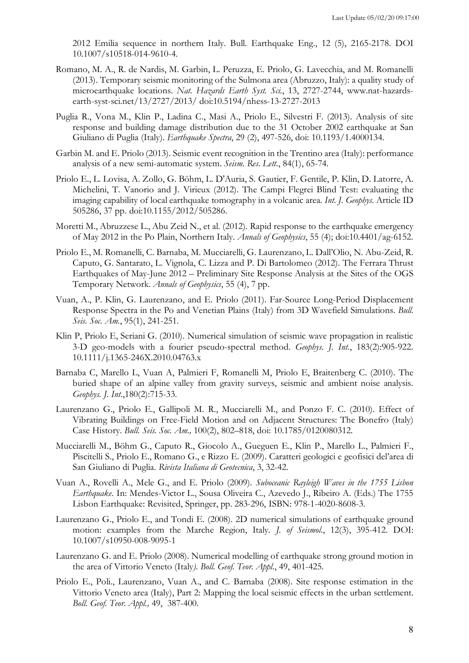2012 Emilia sequence in northern Italy. Bull. Earthquake Eng., 12 (5), 2165-2178. DOI 10.1007/s10518-014-9610-4.

- Romano, M. A., R. de Nardis, M. Garbin, L. Peruzza, E. Priolo, G. Lavecchia, and M. Romanelli (2013). Temporary seismic monitoring of the Sulmona area (Abruzzo, Italy): a quality study of microearthquake locations. *Nat. Hazards Earth Syst. Sci.*, 13, 2727-2744, www.nat-hazardsearth-syst-sci.net/13/2727/2013/ doi:10.5194/nhess-13-2727-2013
- Puglia R., Vona M., Klin P., Ladina C., Masi A., Priolo E., Silvestri F. (2013). Analysis of site response and building damage distribution due to the 31 October 2002 earthquake at San Giuliano di Puglia (Italy). *Earthquake Spectra*, 29 (2), 497-526, doi: 10.1193/1.4000134.
- Garbin M. and E. Priolo (2013). Seismic event recognition in the Trentino area (Italy): performance analysis of a new semi-automatic system. *Seism. Res. Lett*., 84(1), 65-74.
- Priolo E., L. Lovisa, A. Zollo, G. Böhm, L. D'Auria, S. Gautier, F. Gentile, P. Klin, D. Latorre, A. Michelini, T. Vanorio and J. Virieux (2012). The Campi Flegrei Blind Test: evaluating the imaging capability of local earthquake tomography in a volcanic area. *Int. J. Geophys.* Article ID 505286, 37 pp. doi:10.1155/2012/505286.
- Moretti M., Abruzzese L., Abu Zeid N., et al. (2012). Rapid response to the earthquake emergency of May 2012 in the Po Plain, Northern Italy. *Annals of Geophysics*, 55 (4); doi:10.4401/ag-6152.
- Priolo E., M. Romanelli, C. Barnaba, M. Mucciarelli, G. Laurenzano, L. Dall'Olio, N. Abu-Zeid, R. Caputo, G. Santarato, L. Vignola, C. Lizza and P. Di Bartolomeo (2012). The Ferrara Thrust Earthquakes of May-June 2012 – Preliminary Site Response Analysis at the Sites of the OGS Temporary Network. *Annals of Geophysics*, 55 (4), 7 pp.
- Vuan, A., P. Klin, G. Laurenzano, and E. Priolo (2011). Far-Source Long-Period Displacement Response Spectra in the Po and Venetian Plains (Italy) from 3D Wavefield Simulations. *Bull. Seis. Soc. Am.*, 95(1), 241-251.
- Klin P, Priolo E, Seriani G. (2010). Numerical simulation of seismic wave propagation in realistic 3-D geo-models with a fourier pseudo-spectral method. *Geophys. J. Int.*, 183(2):905-922. 10.1111/j.1365-246X.2010.04763.x
- Barnaba C, Marello L, Vuan A, Palmieri F, Romanelli M, Priolo E, Braitenberg C. (2010). The buried shape of an alpine valley from gravity surveys, seismic and ambient noise analysis. *Geophys. J. Int*.,180(2):715-33.
- Laurenzano G., Priolo E., Gallipoli M. R., Mucciarelli M., and Ponzo F. C. (2010). Effect of Vibrating Buildings on Free-Field Motion and on Adjacent Structures: The Bonefro (Italy) Case History. *Bull. Seis. Soc. Am.,* 100(2), 802–818, doi: 10.1785/0120080312.
- Mucciarelli M., Böhm G., Caputo R., Giocolo A., Gueguen E., Klin P., Marello L., Palmieri F., Piscitelli S., Priolo E., Romano G., e Rizzo E. (2009). Caratteri geologici e geofisici del'area di San Giuliano di Puglia. *Rivista Italiana di Geotecnica*, 3, 32-42.
- Vuan A., Rovelli A., Mele G., and E. Priolo (2009). *Suboceanic Rayleigh Waves in the 1755 Lisbon Earthquake*. In: Mendes-Victor L., Sousa Oliveira C., Azevedo J., Ribeiro A. (Eds.) The 1755 Lisbon Earthquake: Revisited, Springer, pp. 283-296, ISBN: 978-1-4020-8608-3.
- Laurenzano G., Priolo E., and Tondi E. (2008). 2D numerical simulations of earthquake ground motion: examples from the Marche Region, Italy*. J. of Seismol*., 12(3), 395-412. DOI: 10.1007/s10950-008-9095-1
- Laurenzano G. and E. Priolo (2008). Numerical modelling of earthquake strong ground motion in the area of Vittorio Veneto (Italy*). Boll. Geof. Teor. Appl*., 49, 401-425.
- Priolo E., Poli., Laurenzano, Vuan A., and C. Barnaba (2008). Site response estimation in the Vittorio Veneto area (Italy), Part 2: Mapping the local seismic effects in the urban settlement. *Boll. Geof. Teor. Appl.,* 49, 387-400.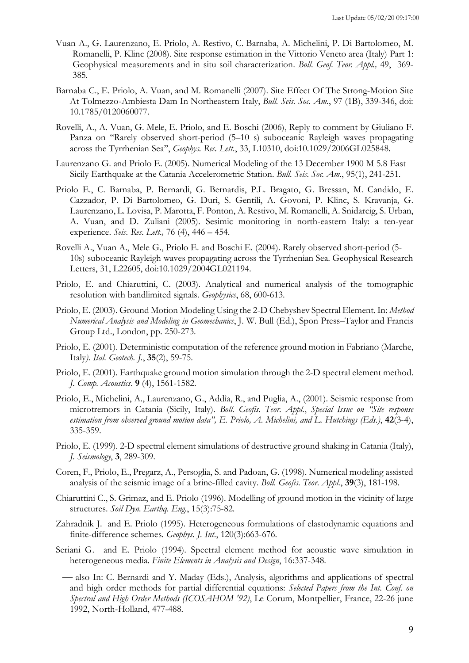- Vuan A., G. Laurenzano, E. Priolo, A. Restivo, C. Barnaba, A. Michelini, P. Di Bartolomeo, M. Romanelli, P. Klinc (2008). Site response estimation in the Vittorio Veneto area (Italy) Part 1: Geophysical measurements and in situ soil characterization. *Boll. Geof. Teor. Appl.,* 49, 369- 385.
- Barnaba C., E. Priolo, A. Vuan, and M. Romanelli (2007). Site Effect Of The Strong-Motion Site At Tolmezzo-Ambiesta Dam In Northeastern Italy, *Bull. Seis. Soc. Am.*, 97 (1B), 339-346, doi: 10.1785/0120060077.
- Rovelli, A., A. Vuan, G. Mele, E. Priolo, and E. Boschi (2006), Reply to comment by Giuliano F. Panza on ''Rarely observed short-period (5–10 s) suboceanic Rayleigh waves propagating across the Tyrrhenian Sea'', *Geophys. Res. Lett.*, 33, L10310, doi:10.1029/2006GL025848.
- Laurenzano G. and Priolo E. (2005). Numerical Modeling of the 13 December 1900 M 5.8 East Sicily Earthquake at the Catania Accelerometric Station. *Bull. Seis. Soc. Am*., 95(1), 241-251.
- Priolo E., C. Barnaba, P. Bernardi, G. Bernardis, P.L. Bragato, G. Bressan, M. Candido, E. Cazzador, P. Di Bartolomeo, G. Durì, S. Gentili, A. Govoni, P. Klinc, S. Kravanja, G. Laurenzano, L. Lovisa, P. Marotta, F. Ponton, A. Restivo, M. Romanelli, A. Snidarcig, S. Urban, A. Vuan, and D. Zuliani (2005). Sesimic monitoring in north-eastern Italy: a ten-year experience. *Seis. Res. Lett.,* 76 (4), 446 – 454.
- Rovelli A., Vuan A., Mele G., Priolo E. and Boschi E. (2004). Rarely observed short-period (5- 10s) suboceanic Rayleigh waves propagating across the Tyrrhenian Sea. Geophysical Research Letters, 31, L22605, doi:10.1029/2004GL021194.
- Priolo, E. and Chiaruttini, C. (2003). Analytical and numerical analysis of the tomographic resolution with bandlimited signals. *Geophysics*, 68, 600-613.
- Priolo, E. (2003). Ground Motion Modeling Using the 2-D Chebyshev Spectral Element. In: *Method Numerical Analysis and Modeling in Geomechanics*, J. W. Bull (Ed.), Spon Press–Taylor and Francis Group Ltd., London, pp. 250-273.
- Priolo, E. (2001). Deterministic computation of the reference ground motion in Fabriano (Marche, Italy*). Ital. Geotech. J.*, **35**(2), 59-75.
- Priolo, E. (2001). Earthquake ground motion simulation through the 2-D spectral element method. *J. Comp. Acoustics*. **9** (4), 1561-1582.
- Priolo, E., Michelini, A., Laurenzano, G., Addìa, R., and Puglia, A., (2001). Seismic response from microtremors in Catania (Sicily, Italy). *Boll. Geofis. Teor. Appl.*, *Special Issue on "Site response estimation from observed ground motion data", E. Priolo, A. Michelini, and L. Hutchings (Eds.)*, **42**(3-4), 335-359.
- Priolo, E. (1999). 2-D spectral element simulations of destructive ground shaking in Catania (Italy), *J. Seismology*, **3**, 289-309.
- Coren, F., Priolo, E., Pregarz, A., Persoglia, S. and Padoan, G. (1998). Numerical modeling assisted analysis of the seismic image of a brine-filled cavity. *Boll. Geofis. Teor. Appl.*, **39**(3), 181-198.
- Chiaruttini C., S. Grimaz, and E. Priolo (1996). Modelling of ground motion in the vicinity of large structures. *Soil Dyn. Earthq. Eng.*, 15(3):75-82.
- Zahradnik J. and E. Priolo (1995). Heterogeneous formulations of elastodynamic equations and finite-difference schemes. Geophys. *J. Int.*, 120(3):663-676.
- Seriani G. and E. Priolo (1994). Spectral element method for acoustic wave simulation in heterogeneous media. *Finite Elements in Analysis and Design*, 16:337-348.
	- ¾ also In: C. Bernardi and Y. Maday (Eds.), Analysis, algorithms and applications of spectral and high order methods for partial differential equations: *Selected Papers from the Int. Conf. on Spectral and High Order Methods (ICOSAHOM '92)*, Le Corum, Montpellier, France, 22-26 june 1992, North-Holland, 477-488.